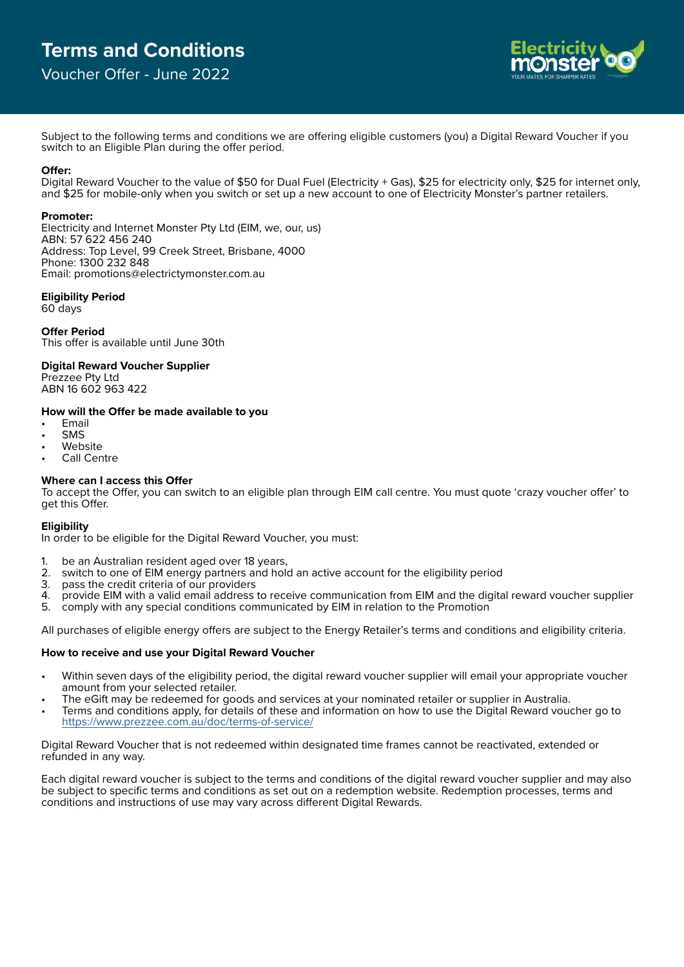# **Terms and Conditions**

# Voucher Offer - June 2022



Subject to the following terms and conditions we are offering eligible customers (you) a Digital Reward Voucher if you switch to an Eligible Plan during the offer period.

#### **Offer:**

Digital Reward Voucher to the value of \$50 for Dual Fuel (Electricity + Gas), \$25 for electricity only, \$25 for internet only, and \$25 for mobile-only when you switch or set up a new account to one of Electricity Monster's partner retailers.

# **Promoter:**

Electricity and Internet Monster Pty Ltd (EIM, we, our, us) ABN: 57 622 456 240 Address: Top Level, 99 Creek Street, Brisbane, 4000 Phone: 1300 232 848 Email: promotions@electrictymonster.com.au

# **Eligibility Period**

60 days

**Offer Period** This offer is available until June 30th

#### **Digital Reward Voucher Supplier**

Prezzee Pty Ltd ABN 16 602 963 422

# **How will the Offer be made available to you**

- Email
- **SMS**
- **Website**
- Call Centre

#### **Where can I access this Offer**

To accept the Offer, you can switch to an eligible plan through EIM call centre. You must quote 'crazy voucher offer' to get this Offer.

#### **Eligibility**

In order to be eligible for the Digital Reward Voucher, you must:

- 1. be an Australian resident aged over 18 years,<br>2. switch to one of FIM energy partners and hol
- 2. switch to one of EIM energy partners and hold an active account for the eligibility period<br>3. pass the credit criteria of our providers
- 
- 3. pass the credit criteria of our providers<br>4. provide EIM with a valid email address 4. provide EIM with a valid email address to receive communication from EIM and the digital reward voucher supplier
- 5. comply with any special conditions communicated by EIM in relation to the Promotion

All purchases of eligible energy offers are subject to the Energy Retailer's terms and conditions and eligibility criteria.

# **How to receive and use your Digital Reward Voucher**

- Within seven days of the eligibility period, the digital reward voucher supplier will email your appropriate voucher amount from your selected retailer.
- The eGift may be redeemed for goods and services at your nominated retailer or supplier in Australia.
- Terms and conditions apply, for details of these and information on how to use the Digital Reward voucher go to <https://www.prezzee.com.au/doc/terms-of-service/>

Digital Reward Voucher that is not redeemed within designated time frames cannot be reactivated, extended or refunded in any way.

Each digital reward voucher is subject to the terms and conditions of the digital reward voucher supplier and may also be subject to specific terms and conditions as set out on a redemption website. Redemption processes, terms and conditions and instructions of use may vary across different Digital Rewards.